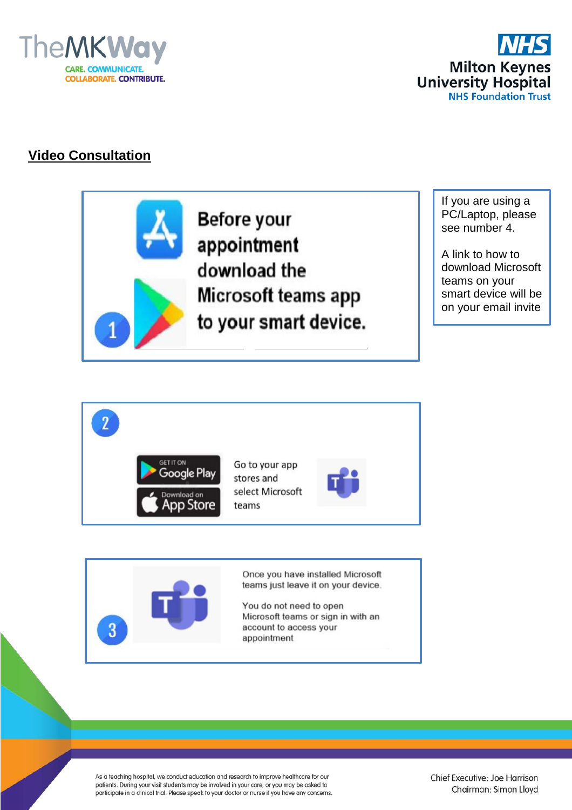



# **Video Consultation**

**Before your** appointment download the Microsoft teams app to your smart device.

If you are using a PC/Laptop, please see number 4.

A link to how to download Microsoft teams on your smart device will be on your email invite





Once you have installed Microsoft teams just leave it on your device.

You do not need to open Microsoft teams or sign in with an account to access your appointment

As a teaching hospital, we conduct education and research to improve healthcare for our patients. During your visit students may be involved in your care, or you may be asked to participate in a clinical trial. Please speak to your doctor or nurse if you have any concerns.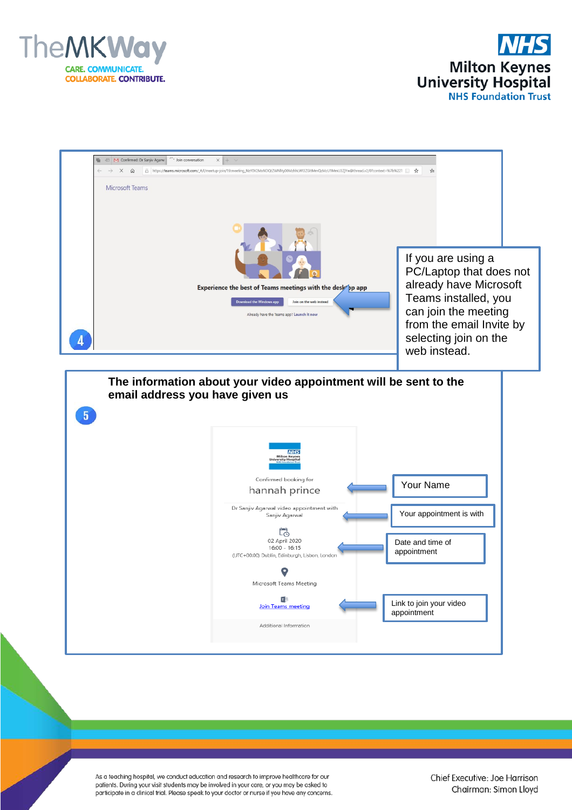



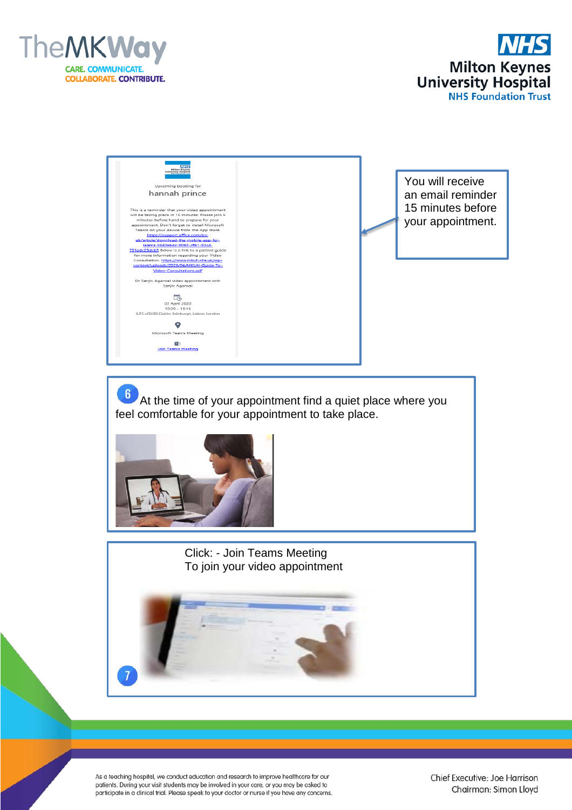





 $\left| \begin{array}{c} 6 \end{array} \right|$  At the time of your appointment find a quiet place where you feel comfortable for your appointment to take place.



Click: - Join Teams Meeting To join your video appointment

As a teaching hospital, we conduct education and research to improve healthcare for our patients. During your visit students may be involved in your care, or you may be asked to participate in a clinical trial. Please speak to your doctor or nurse if you have any concerns.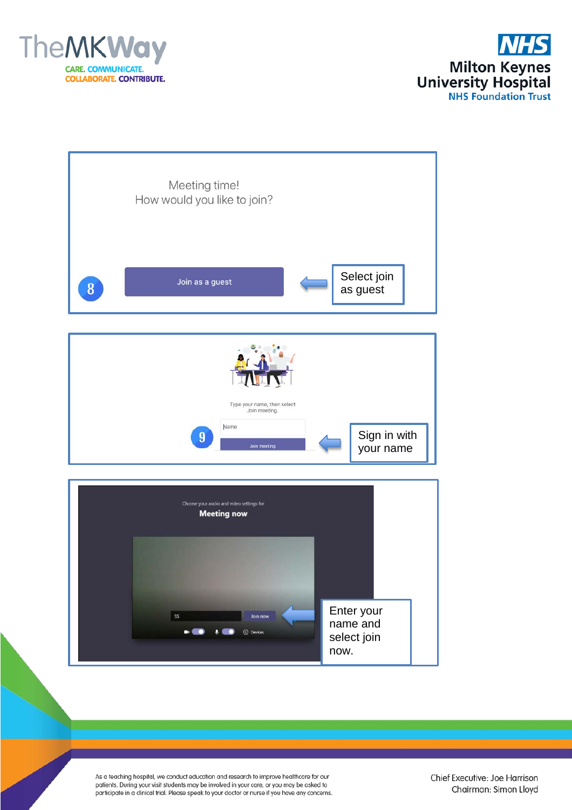



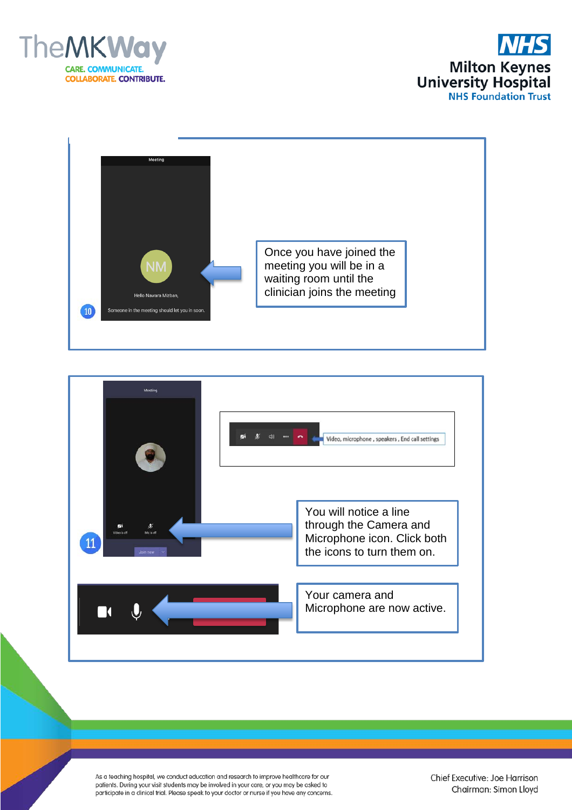





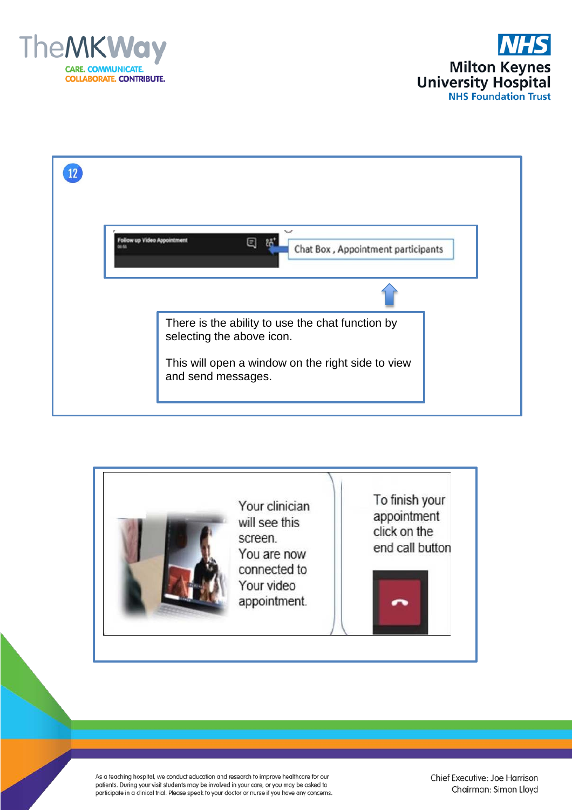